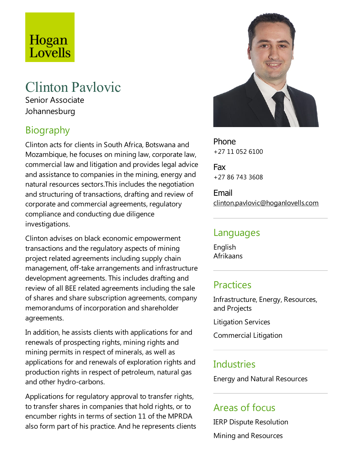# Hogan Lovells

## Clinton Pavlovic

Senior Associate Johannesburg

## Biography

Clinton acts for clients in South Africa, Botswana and Mozambique, he focuses on mining law, corporate law, commercial law and litigation and provides legal advice and assistance to companies in the mining, energy and natural resources sectors.This includes the negotiation and structuring of transactions, drafting and review of corporate and commercial agreements, regulatory compliance and conducting due diligence investigations.

Clinton advises on black economic empowerment transactions and the regulatory aspects of mining project related agreements including supply chain management, off-take arrangements and infrastructure development agreements. This includes drafting and review of all BEE related agreements including the sale of shares and share subscription agreements, company memorandums of incorporation and shareholder agreements.

In addition, he assists clients with applications for and renewals of prospecting rights, mining rights and mining permits in respect of minerals, as well as applications for and renewals of exploration rights and production rights in respect of petroleum, natural gas and other hydro-carbons.

Applications for regulatory approval to transfer rights, to transfer shares in companies that hold rights, or to encumber rights in terms of section 11 of the MPRDA also form part of his practice. And he represents clients



Phone +27 11 052 6100

Fax +27 86 743 3608

Email clinton.pavlovic@hoganlovells.com

#### Languages

English Afrikaans

#### Practices

Infrastructure, Energy, Resources, and Projects

Litigation Services

Commercial Litigation

#### **Industries**

Energy and Natural Resources

#### Areas of focus

IERP Dispute Resolution

Mining and Resources